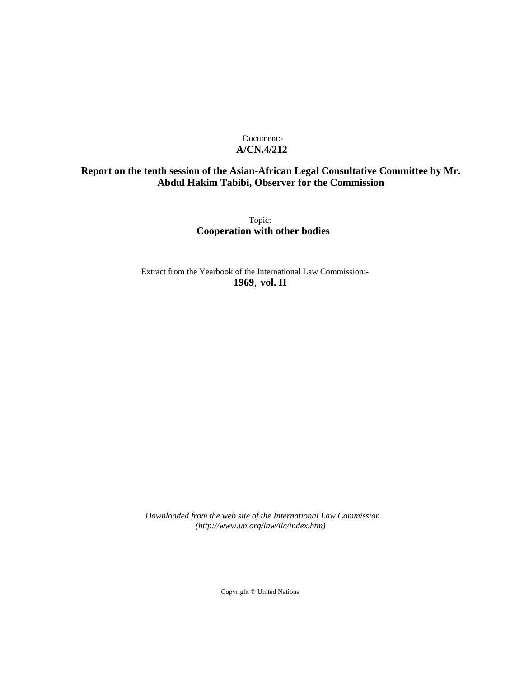# Document:- **A/CN.4/212**

# **Report on the tenth session of the Asian-African Legal Consultative Committee by Mr. Abdul Hakim Tabibi, Observer for the Commission**

Topic: **Cooperation with other bodies**

Extract from the Yearbook of the International Law Commission:- **1969**, **vol. II**

*Downloaded from the web site of the International Law Commission (http://www.un.org/law/ilc/index.htm)*

Copyright © United Nations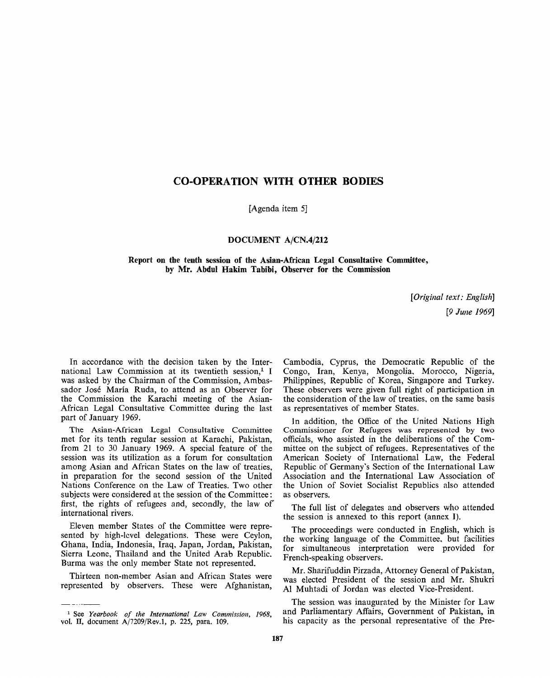# CO-OPERATION WITH OTHER BODIES

[Agenda item 5]

### **DOCUMENT A/CN.4/212**

**Report on the tenth session of the Asian-African Legal Consultative Committee, by Mr. Abdul Hakim Tabibi, Observer for the Commission**

> *[Original text: English] [9 June 1969]*

In accordance with the decision taken by the International Law Commission at its twentieth session,<sup>1</sup> I was asked by the Chairman of the Commission, Ambassador Jose Maria Ruda, to attend as an Observer for the Commission the Karachi meeting of the Asian-African Legal Consultative Committee during the last part of January 1969.

The Asian-African Legal Consultative Committee met for its tenth regular session at Karachi, Pakistan, from 21 to 30 January 1969. A special feature of the session was its utilization as a forum for consultation among Asian and African States on the law of treaties, in preparation for the second session of the United Nations Conference on the Law of Treaties. Two other subjects were considered at the session of the Committee: first, the rights of refugees and, secondly, the law of international rivers.

Eleven member States of the Committee were represented by high-level delegations. These were Ceylon, Ghana, India, Indonesia, Iraq, Japan, Jordan, Pakistan, Sierra Leone, Thailand and the United Arab Republic. Burma was the only member State not represented.

Thirteen non-member Asian and African States were represented by observers. These were Afghanistan,

Cambodia, Cyprus, the Democratic Republic of the Congo, Iran, Kenya, Mongolia, Morocco, Nigeria, Philippines, Republic of Korea, Singapore and Turkey. These observers were given full right of participation in the consideration of the law of treaties, on the same basis as representatives of member States.

In addition, the Office of the United Nations High Commissioner for Refugees was represented by two officials, who assisted in the deliberations of the Committee on the subject of refugees. Representatives of the American Society of International Law, the Federal Republic of Germany's Section of the International Law Association and the International Law Association of the Union of Soviet Socialist Republics also attended as observers.

The full list of delegates and observers who attended the session is annexed to this report (annex I).

The proceedings were conducted in English, which is the working language of the Committee, but facilities for simultaneous interpretation were provided for French-speaking observers.

Mr. Sharifuddin Pirzada, Attorney General of Pakistan, was elected President of the session and Mr. Shukri Al Muhtadi of Jordan was elected Vice-President.

The session was inaugurated by the Minister for Law and Parliamentary Affairs, Government of Pakistan, in his capacity as the personal representative of the Pre-

<sup>1</sup> See *Yearbook of the International Law Commission, 1968,* vol. II, document A/7209/Rev.l, p. 225, para. 109.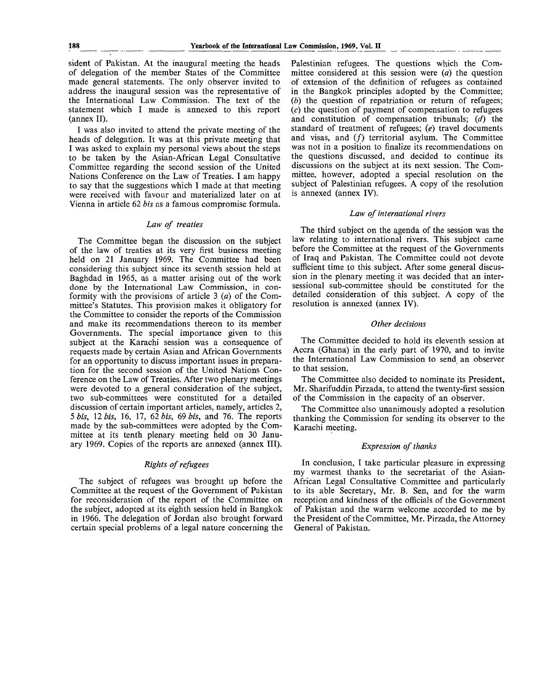sident of Pakistan. At the inaugural meeting the heads of delegation of the member States of the Committee made general statements. The only observer invited to address the inaugural session was the representative of the International Law Commission. The text of the statement which I made is annexed to this report (annex II).

I was also invited to attend the private meeting of the heads of delegation. It was at this private meeting that I was asked to explain my personal views about the steps to be taken by the Asian-African Legal Consultative Committee regarding the second session of the United Nations Conference on the Law of Treaties. I am happy to say that the suggestions which I made at that meeting were received with favour and materialized later on at Vienna in article 62 *bis* as a famous compromise formula.

### *Law of treaties*

The Committee began the discussion on the subject of the law of treaties at its very first business meeting held on 21 January 1969. The Committee had been considering this subject since its seventh session held at Baghdad in 1965, as a matter arising out of the work done by the International Law Commission, in conformity with the provisions of article 3 *(a)* of the Committee's Statutes. This provision makes it obligatory for the Committee to consider the reports of the Commission and make its recommendations thereon to its member Governments. The special importance given to this subject at the Karachi session was a consequence of requests made by certain Asian and African Governments for an opportunity to discuss important issues in preparation for the second session of the United Nations Conference on the Law of Treaties. After two plenary meetings were devoted to a general consideration of the subject, two sub-committees were constituted for a detailed discussion of certain important articles, namely, articles 2, 5 *bis,* 12 *bis,* 16, 17, 62 *bis, 69 bis,* and 76. The reports made by the sub-committees were adopted by the Committee at its tenth plenary meeting held on 30 January 1969. Copies of the reports are annexed (annex III).

### *Rights of refugees*

The subject of refugees was brought up before the Committee at the request of the Government of Pakistan for reconsideration of the report of the Committee on the subject, adopted at its eighth session held in Bangkok in 1966. The delegation of Jordan also brought forward certain special problems of a legal nature concerning the Palestinian refugees. The questions which the Committee considered at this session were *(a)* the question of extension of the definition of refugees as contained in the Bangkok principles adopted by the Committee; *(b)* the question of repatriation or return of refugees; *(c)* the question of payment of compensation to refugees and constitution of compensation tribunals; *(d)* the standard of treatment of refugees; *(e)* travel documents and visas, and  $(f)$  territorial asylum. The Committee was not in a position to finalize its recommendations on the questions discussed, and decided to continue its discussions on the subject at its next session. The Committee, however, adopted a special resolution on the subject of Palestinian refugees. A copy of the resolution is annexed (annex IV).

### *Law of international rivers*

The third subject on the agenda of the session was the law relating to international rivers. This subject came before the Committee at the request of the Governments of Iraq and Pakistan. The Committee could not devote sufficient time to this subject. After some general discussion in the plenary meeting it was decided that an intersessional sub-committee should be constituted for the detailed consideration of this subject. A copy of the resolution is annexed (annex IV).

### *Other decisions*

The Committee decided to hold its eleventh session at Accra (Ghana) in the early part of 1970, and to invite the International Law Commission to send an observer to that session.

The Committee also decided to nominate its President, Mr. Sharifuddin Pirzada, to attend the twenty-first session of the Commission in the capacity of an observer.

The Committee also unanimously adopted a resolution thanking the Commission for sending its observer to the Karachi meeting.

### *Expression of thanks*

In conclusion, I take particular pleasure in expressing my warmest thanks to the secretariat of the Asian-African Legal Consultative Committee and particularly to its able Secretary, Mr. B. Sen, and for the warm reception and kindness of the officials of the Government of Pakistan and the warm welcome accorded to me by the President of the Committee, Mr. Pirzada, the Attorney General of Pakistan.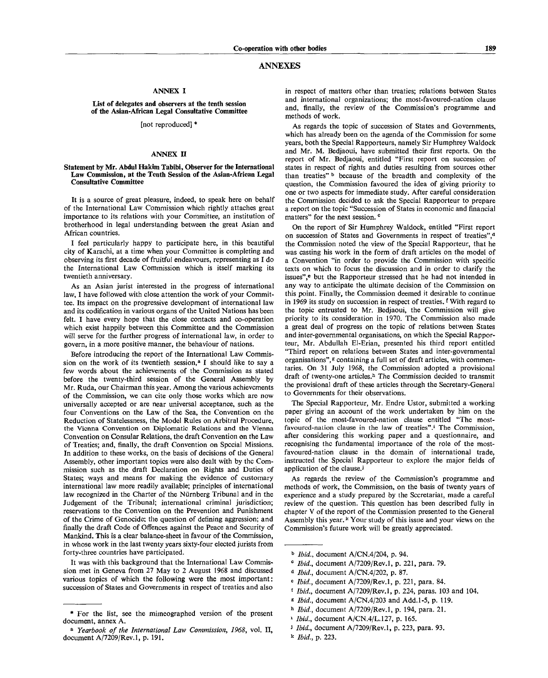#### ANNEXES

### **ANNEX I**

#### **List of delegates and observers at the tenth session of the Asian-African Legal Consultative Committee**

### [not reproduced] \*

### **ANNEX II**

#### **Statement by Mr. Abdul Hakim Tabibi, Observer for the International Law Commission, at the Tenth Session of the Asian-African Legal Consultative Committee**

It is a source of great pleasure, indeed, to speak here on behalf of the International Law Commission which rightly attaches great importance to its relations with your Committee, an institution of brotherhood in legal understanding between the great Asian and African countries.

I feel particularly happy to participate here, in this beautiful city of Karachi, at a time when your Committee is completing and observing its first decade of fruitful endeavours, representing as I do the International Law Commission which is itself marking its twentieth anniversary.

As an Asian jurist interested in the progress of international law, I have followed with close attention the work of your Committee. Its impact on the progressive development of international law and its codification in various organs of the United Nations has been felt. I have every hope that the close contacts and co-operation which exist happily between this Committee and the Commission will serve for the further progress of international law, in order to govern, in a more positive manner, the behaviour of nations.

Before introducing the report of the International Law Commission on the work of its twentieth session,<sup>a</sup> I should like to say a few words about the achievements of the Commission as stated before the twenty-third session of the General Assembly by Mr. Ruda, our Chairman this year. Among the various achievements of the Commission, we can cite only those works which are now universally accepted or are near universal acceptance, such as the four Conventions on the Law of the Sea, the Convention on the Reduction of Statelessness, the Model Rules on Arbitral Procedure, the Vienna Convention on Diplomatic Relations and the Vienna Convention on Consular Relations, the draft Convention on the Law of Treaties; and, finally, the draft Convention on Special Missions. In addition to these works, on the basis of decisions of the General Assembly, other important topics were also dealt with by the Commission such as the draft Declaration on Rights and Duties of States; ways and means for making the evidence of customary international law more readily available; principles of international law recognized in the Charter of the Nürnberg Tribunal and in the Judgement of the Tribunal; international criminal jurisdiction; reservations to the Convention on the Prevention and Punishment of the Crime of Genocide; the question of defining aggression; and finally the draft Code of Offences against the Peace and Security of Mankind. This is **a** clear balance-sheet in favour of the Commission, in whose work in the last twenty years sixty-four elected jurists from forty-three countries have participated.

It was with this background that the International Law Commission met in Geneva from 27 May to 2 August 1968 and discussed various topics **of** which the following were the most important: succession of States and Governments in respect of treaties and also in respect of matters other than treaties; relations between States and international organizations; the most-favoured-nation clause and, finally, the review of the Commission's programme and methods of work.

As regards the topic of succession of States and Governments, which has already been on the agenda of the Commission for some years, both the Special Rapporteurs, namely Sir Humphrey Waldock and Mr. M. Bedjaoui, have submitted their first reports. On the report of Mr. Bedjaoui, entitled "First report on succession of states in respect of rights and duties resulting from sources other than treaties" b because of the breadth and complexity of the question, the Commission favoured the idea of giving priority to one or two aspects for immediate study. After careful consideration the Commission decided to ask the Special Rapporteur to prepare a report on the topic "Succession of States in economic and financial matters" for the next session.

On the report of Sir Humphrey Waldock, entitled "First report on succession of States and Governments in respect of treaties",<sup>d</sup> the Commission noted the view of the Special Rapporteur, that he was casting his work in the form of draft articles on the model of a Convention "in order to provide the Commission with specific texts on which to focus the discussion and in order to clarify the issues",<sup>e</sup> but the Rapporteur stressed that he had not intended in any way to anticipate the ultimate decision of the Commission on this point. Finally, the Commission deemed it desirable to continue in 1969 its study on succession in respect of treaties. <sup>f</sup> With regard to the topic entrusted to Mr. Bedjaoui, the Commission will give priority to its consideration in 1970. The Commission also made a great deal of progress on the topic of relations between States and inter-governmental organisations, on which the Special Rapporteur, Mr. Abdullah El-Erian, presented his third report entitled "Third report on relations between States and inter-governmental organisations",<sup>g</sup> containing a full set of draft articles, with commentaries. On 31 July 1968, the Commission adopted a provisional draft of twenty-one articles.<sup>h</sup> The Commission decided to transmit the provisional draft of these articles through the Secretary-General to Governments for their observations.

The Special Rapporteur, Mr. Endre Ustor, submitted a working paper giving an account of the work undertaken by him on the topic of the most-favoured-nation clause entitled "The mostfavoured-nation clause in the law of treaties".<sup>1</sup> The Commission, after considering this working paper and a questionnaire, and recognising the fundamental importance of the role of the mostfavoured-nation clause in the domain of international trade, instructed the Special Rapporteur to explore the major fields of application of the clause.<sup>j</sup>

As regards the review of the Commission's programme and methods of work, the Commission, on the basis of twenty years of experience and a study prepared by the Sccretariat, made a careful review of the question. This question has been described fully in chapter V of the report of the Commission presented to the General Assembly this year.<sup>k</sup> Your study of this issue and your views on the Commission's future work will be greatly appreciated.

- 6  *Ibid.,* document A/CN.4/204, p. 94.
- <sup>c</sup> *Ibid.*, document A/7209/Rev.1, p. 221, para. 79.
- \* *Ibid.,* document A/CN.4/202, p. 87.
- e  *Ibid.,* document A/7209/Rev.l, p. 221, para. 84.
- f  *Ibid.,* document A/7209/Rev.l, p. 224, paras. 103 and 104.
- « *Ibid.,* document A/CN.4/203 and Add. 1-5, p. 119.
- h  *Ibid.,* document A/7209/Rev.l, p. 194, para. 21.
- <sup>1</sup> *Ibid.*, document A/CN.4/L.127, p. 165.
- *j Ibid.*, document A/7209/Rev.1, p. 223, para. 93.
- k  *Ibid.,* p. 223.

<sup>\*</sup> For the list, see the mimeographed version of the present document, annex A.

a  *Yearbook of the International Law Commission, 1968,* vol. II, document A/7209/Rev.l, p. 191.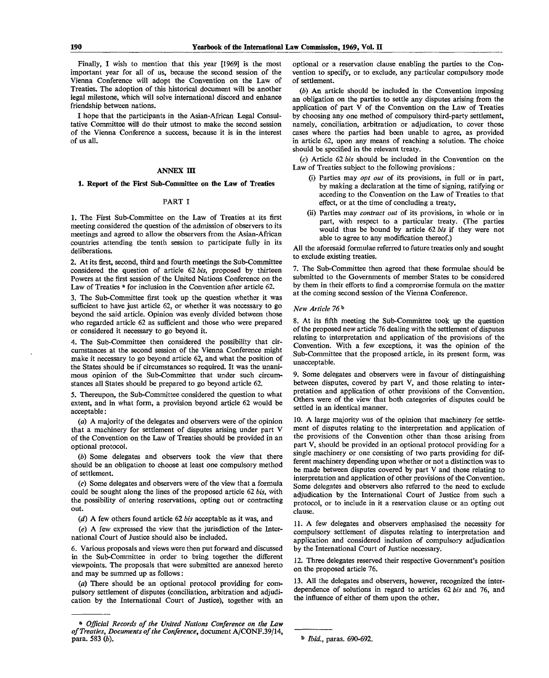Finally, I wish to mention that this year [1969] is the most important year for all of us, because the second session of the Vienna Conference will adopt the Convention on the Law of Treaties. The adoption of this historical document will be another legal milestone, which will solve international discord and enhance friendship between nations.

I hope that the participants in the Asian-African Legal Consultative Committee will do their utmost to make the second session of the Vienna Conference a success, because it is in the interest of us all.

### **ANNEX m**

### **1. Report of the First Sub-Committee on the Law of Treaties**

#### PART I

1. The First Sub-Committee on the Law of Treaties at its first meeting considered the question of the admission of observers to its meetings and agreed to allow the observers from the Asian-African countries attending the tenth session to participate fully in its deliberations.

2. At its first, second, third and fourth meetings the Sub-Committee considered the question of article 62 *bis,* proposed by thirteen Powers at the first session of the United Nations Conference on the Law of Treaties  $\frac{1}{2}$  for inclusion in the Convention after article 62.

3. The Sub-Committee first took up the question whether it was sufficient to have just article 62, or whether it was necessary to go beyond the said article. Opinion was evenly divided between those who regarded article 62 as sufficient and those who were prepared or considered it necessary to go beyond it.

4. The Sub-Committee then considered the possibility that circumstances at the second session of the Vienna Conference might make it necessary to go beyond article 62, and what the position of the States should be if circumstances so required. It was the unanimous opinion of the Sub-Committee that under such circumstances all States should be prepared to go beyond article 62.

5. Thereupon, the Sub-Committee considered the question to what extent, and in what form, a provision beyond article 62 would be acceptable:

(a) A majority of the delegates and observers were of the opinion that a machinery for settlement of disputes arising under part V of the Convention on the Law of Treaties should be provided in an optional protocol.

(6) Some delegates and observers took the view that there should be an obligation to choose at least one compulsory method of settlement.

(c) Some delegates and observers were of the view that a formula could be sought along the lines of the proposed article 62 *bis,* with the possibility of entering reservations, opting out or contracting out.

*(d)* A few others found article 62 *bis* acceptable as it was, and

*(e)* A few expressed the view that the jurisdiction of the International Court of Justice should also be included.

6. Various proposals and views were then put forward and discussed in the Sub-Committee in order to bring together the different viewpoints. The proposals that were submitted are annexed hereto and may be summed up as follows:

 $(a)$  There should be an optional protocol providing for compulsory settlement of disputes (conciliation, arbitration and adjudication by the International Court of Justice), together with an optional or a reservation clause enabling the parties to the Convention to specify, or to exclude, any particular compulsory mode of settlement.

*(b)* An article should be included in the Convention imposing an obligation on the parties to settle any disputes arising from the application of part V of the Convention on the Law of Treaties by choosing any one method of compulsory third-party settlement, namely, conciliation, arbitration or adjudication, to cover those cases where the parties had been unable to agree, as provided in article 62, upon any means of reaching a solution. The choice should be specified in the relevant treaty.

(c) Article 62 *bis* should be included in the Convention on the Law of Treaties subject to the following provisions:

- (i) Parties may *opt out* of its provisions, in full or in part, by making a declaration at the time of signing, ratifying or acceding to the Convention on the Law of Treaties to that effect, or at the time of concluding a treaty,
- (ii) Parties may *contract out* of its provisions, in whole or in part, with respect to a particular treaty. (The parties would thus be bound by article 62 *bis* if they were not able to agree to any modification thereof.)

All the aforesaid formulae referred to future treaties only and sought to exclude existing treaties.

7. The Sub-Committee then agreed that these formulae should be submitted to the Governments of member States to be considered by them in their efforts to find a compromise formula on the matter at the coming second session of the Vienna Conference.

#### *New Article 76"°*

8. At its fifth meeting the Sub-Committee took up the question of the proposed new article 76 dealing with the settlement of disputes relating to interpretation and application of the provisions of the Convention. With a few exceptions, it was the opinion of the Sub-Committee that the proposed article, in its present form, was unacceptable.

9. Some delegates and observers were in favour of distinguishing between disputes, covered by part V, and those relating to interpretation and application of other provisions of the Convention. Others were of the view that both categories of disputes could be settled in an identical manner.

10. A large majority was of the opinion that machinery for settlement of disputes relating to the interpretation and application of the provisions of the Convention other than those arising from part V, should be provided in an optional protocol providing for a single machinery or one consisting of two parts providing for different machinery depending upon whether or not a distinction was to be made between disputes covered by part V and those relating to interpretation and application of other provisions of the Convention. Some delegates and observers also referred to the need to exclude adjudication by the International Court of Justice from such a protocol, or to include in it a reservation clause or an opting out clause.

11. A few delegates and observers emphasised the necessity for compulsory settlement of disputes relating to interpretation and application and considered inclusion of compulsory adjudication by the International Court of Justice necessary.

12. Three delegates reserved their respective Government's position on the proposed article 76.

13. All the delegates and observers, however, recognized the interdependence of solutions in regard to articles 62 *bis* and 76, and the influence of either of them upon the other.

a  *Official Records of the United Nations Conference on the Law of Treaties, Documents of the Conference,* document A/CONF.39/14,

para. 583 *(b). Ibid.,* paras. 690-692.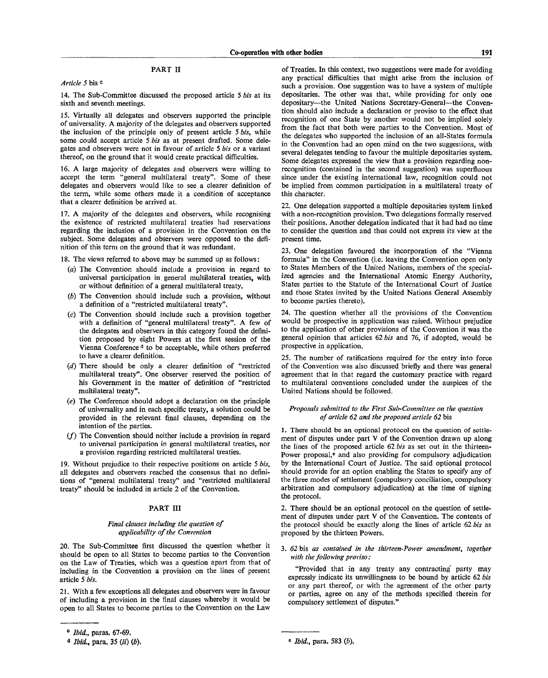### PART II

### *Article 5* bis c

14. The Sub-Committee discussed the proposed article 5 *bis* at its sixth and seventh meetings.

15. Virtually all delegates and observers supported the principle of universality. A majority of the delegates and observers supported the inclusion of the principle only of present article 5 *bis,* while some could accept article 5 *bis* as at present drafted. Some delegates and observers were not in favour of article 5 *bis* or a variant thereof, on the ground that it would create practical difficulties.

16. A large majority of delegates and observers were willing to accept the term "general multilateral treaty". Some of these delegates and observers would like to see a clearer definition of the term, while some others made it a condition of acceptance that a clearer definition be arrived at.

17. A majority of the delegates and observers, while recognising the existence of restricted multilateral treaties had reservations regarding the inclusion of a provision in the Convention on the subject. Some delegates and observers were opposed to the definition of this term on the ground that it was redundant.

18. The views referred to above may be summed up as follows:

- *(a)* The Convention should include a provision in regard to universal participation in general multilateral treaties, with or without definition of a general multilateral treaty.
- *(b)* The Convention should include such a provision, without a definition of a "restricted multilateral treaty".
- (c) The Convention should include such a provision together with a definition of "general multilateral treaty". A few of the delegates and observers in this category found the definition proposed by eight Powers at the first session of the Vienna Conference<sup>d</sup> to be acceptable, while others preferred to have a clearer definition.
- *(d)* There should be only a clearer definition of "restricted multilateral treaty". One observer reserved the position of his Government in the matter of definition of "restricted multilateral treaty".
- (e) The Conference should adopt a declaration on the principle of universality and in each specific treaty, a solution could be provided in the relevant final clauses, depending on the intention of the parties.
- $(f)$  The Convention should neither include a provision in regard to universal participation in general multilateral treaties, nor a provision regarding restricted multilateral treaties.

19. Without prejudice to their respective positions on article 5 *bis,* all delegates and observers reached the consensus that no definitions of "general multilateral treaty" and "restricted multilateral treaty" should be included in article 2 of the Convention.

#### PART III

### *Final clauses including the question of applicability of the Convention*

20. The Sub-Committee first discussed the question whether it should be open to all States to become parties to the Convention on the Law of Treaties, which was a question apart from that of including in the Convention a provision on the lines of present article 5 *bis.*

21. With a few exceptions all delegates and observers were in favour of including a provision in the final clauses whereby it would be open to all States to become parties to the Convention on the Law

of Treaties. In this context, two suggestions were made for avoiding any practical difficulties that might arise from the inclusion of such a provision. One suggestion was to have a system of multiple depositaries. The other was that, while providing for only one depositary—the United Nations Secretary-General—the Convention should also include a declaration or proviso to the effect that recognition of one State by another would not be implied solely from the fact that both were parties to the Convention. Most of the delegates who supported the inclusion of an all-States formula in the Convention had an open mind on the two suggestions, with several delegates tending to favour the multiple depositaries system. Some delegates expressed the view that a provision regarding nonrecognition (contained in the second suggestion) was superfluous since under the existing international law, recognition could not be implied from common participation in a multilateral treaty of this character.

22. One delegation supported a multiple depositaries system linked with a non-recognition provision. Two delegations formally reserved their positions. Another delegation indicated that it had had no time to consider the question and thus could not express its view at the present time.

23. One delegation favoured the incorporation of the "Vienna formula" in the Convention (i.e. leaving the Convention open only to States Members of the United Nations, members of the specialized agencies and the International Atomic Energy Authority, States parties to the Statute of the International Court of Justice and those States invited by the United Nations General Assembly to become parties thereto).

24. The question whether all the provisions of the Convention would be prospective in application was raised. Without prejudice to the application of other provisions of the Convention it was the general opinion that articles 62 *bis* and 76, if adopted, would be prospective in application.

25. The number of ratifications required for the entry into force of the Convention was also discussed briefly and there was general agreement that in that regard the customary practice with regard to multilateral conventions concluded under the auspices of the United Nations should be followed.

### *Proposals submitted to the First Sub-Committee on the question of article 62 and the proposed article 62* bis

1. There should be an optional protocol on the question of settlement of disputes under part V of the Convention drawn up along the lines of the proposed article 62 *bis* as set out in the thirteen-Power proposal,<sup>e</sup> and also providing for compulsory adjudication by the International Court of Justice. The said optional protocol should provide for an option enabling the States to specify any of the three modes of settlement (compulsory conciliation, compulsory arbitration and compulsory adjudication) at the time of signing the protocol.

2. There should be an optional protocol on the question of settlement of disputes under part V of the Convention. The contents of the protocol should be exactly along the lines of article 62 *bis* as proposed by the thirteen Powers.

### 3. *62* bis *as contained in the thirteen-Power amendment, together with the following proviso:*

"Provided that in any treaty any contracting' party may expressly indicate its unwillingness to be bound by article 62 *bis* or any part thereof, or with the agreement of the other party or parties, agree on any of the methods specified therein for compulsory settlement of disputes."

c  *Ibid.,* paras. 67-69.

d *Ibid.*, para. 35 (*ii*) (*b*).  $\qquad \qquad$  *Ibid.*, para. 583 (*b*).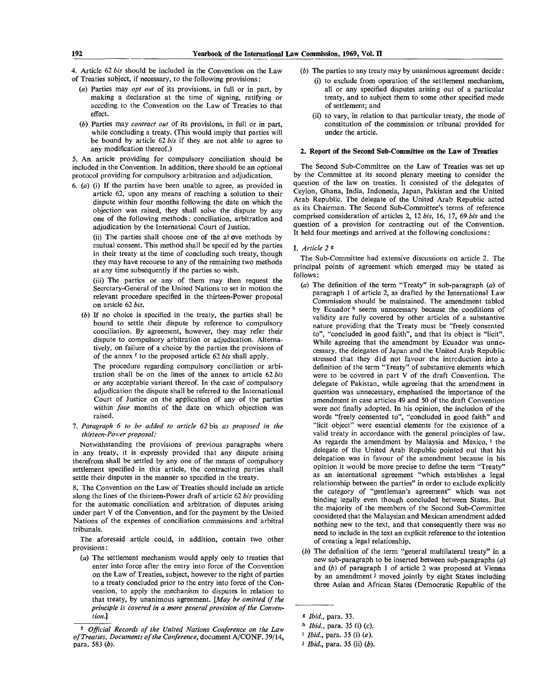- 4. Article 62 *bis* should be included in the Convention on the Law of Treaties subject, if necessary, to the following provisions:
	- (a) Parties may *opt out* of its provisions, in full or in part, by making a declaration at the time of signing, ratifying or acceding to the Convention on the Law of Treaties to that effect.
	- *(b)* Parties may *contract out* of its provisions, in full or in part, while concluding a treaty. (This would imply that parties will be bound by article 62 *bis* if they are not able to agree to any modification thereof.)

5. An article providing for compulsory conciliation should be included in the Convention. In addition, there should be an optional protocol providing for compulsory arbitration and adjudication.

6. *(a)* (i) If the parties have been unable to agree, as provided in article 62, upon any means of reaching a solution to their dispute within four months following the date on which the objection was raised, they shall solve the dispute by any one of the following methods: conciliation, arbitration and adjudication by the International Court of Justice,

(ii) The parties shall choose one of the above methods by mutual consent. This method shall be specif ed by the parties in their treaty at the time of concluding such treaty, though they may have recourse to any of the remaining two methods at any time subsequently if the parties so wish.

(iii) The parties or any of them may then request the Secretary-General of the United Nations to set in motion the relevant procedure specified in the thirteen-Power proposal on article 62 *bis.*

*(b)* If no choice is specified in the treaty, the parties shall be bound to settle their dispute by reference to compulsory conciliation. By agreement, however, they may refer their dispute to compulsory arbitration or adjudication. Alternatively, on failure of a choice by the parties the provisions of of the annex <sup>f</sup> to the proposed article 62 *bis* shall apply.

The procedure regarding compulsory conciliation or arbitration shall be on the lines of the annex to article 62 *bis* or any acceptable variant thereof. In the case of compulsory adjudication the dispute shall be referred to the International Court of Justice on the application of any of the parties within *four* months of the date on which objection was raised.

7. *Paragraph 6 to be added to article 62* bis *as proposed in the thirteen-Power proposal:*

Notwithstanding the provisions of previous paragraphs where in any treaty, it is expressly provided that any dispute arising therefrom shall be settled by any one of the means of compulsory settlement specified in this article, the contracting parties shall settle their disputes in the manner so specified in the treaty.

8. The Convention on the Law of Treaties should include an article along the lines of the thirteen-Power draft of article 62 *bis* providing for the automatic conciliation and arbitration of disputes arising under part V of the Convention, and for the payment by the United Nations of the expenses of conciliation commissions and arbitral tribunals.

The aforesaid article could, in addition, contain two other provisions:

*(a)* The settlement mechanism would apply only to treaties that enter into force after the entry into force of the Convention on the Law of Treaties, subject, however to the right of parties to a treaty concluded prior to the entry into force of the Convention, to apply the mechanism to disputes in relation to that treaty, by unanimous agreement. *[May be omitted if the principle is covered in a more general provision of the Convention]*

- *(b)* The parties to any treaty may by unanimous agreement decide:
	- (i) to exclude from operation of the settlement mechanism, all or any specified disputes arising out of a particular treaty, and to subject them to some other specified mode of settlement; and
	- (ii) to vary, in relation to that particular treaty, the mode of constitution of the commission or tribunal provided for under the article.

#### **2. Report of the Second Sub-Committee on the Law of Treaties**

The Second Sub-Committee on the Law of Treaties was set up by the Committee at its second plenary meeting to consider the question of the law on treaties. It consisted of the delegates of Ceylon, Ghana, India, Indonesia, Japan, Pakistan and the United Arab Republic. The delegate of the United Arab Republic acted as its Chairman. The Second Sub-Committee's terms of reference comprised consideration of articles 2, 12 *bis,* 16, 17, 69 *bis* and the question of a provision for contracting out of the Convention. It held four meetings and arrived at the following conclusions:

#### I. *Article 2 s*

The Sub-Committee had extensive discussions on article 2. The principal points of agreement which emerged may be stated as follows:

- (a) The definition of the term "Treaty" in sub-paragraph  $(a)$  of paragraph 1 of article 2, as drafted by the International Law Commission should be maintained. The amendment tabled by Ecuador<sup>h</sup> seems unnecessary because the conditions of validity are fully covered by other articles of a substantive nature providing that the Treaty must be "freely consented to", "concluded in good faith", and that its object is "licit". While agreeing that the amendment by Ecuador was unnecessary, the delegates of Japan and the United Arab Republic stressed that they did not favour the introduction into a definition of the term "Treaty" of substantive elements which were to be covered in part V of the draft Convention. The delegate of Pakistan, while agreeing that the amendment in question was unnecessary, emphasised the importance of the amendment in case articles 49 and 50 of the draft Convention were not finally adopted. In his opinion, the inclusion of the words "freely consented to", "concluded in good faith" and "licit object" were essential elements for the existence of a valid treaty in accordance with the general principles of law. As regards the amendment by Malaysia and Mexico, <sup>i</sup> the delegate of the United Arab Republic pointed out that his delegation was in favour of the amendment because in his opinion it would be more precise to define the term "Treaty" as an international agreement "which establishes a legal relationship between the parties" in order to exclude explicitly the category of "gentleman's agreement" which was not binding legally or generalized agreement which was not binding legally even though concluded between States. But the majority of the members of the Second Sub-Committee considered that the Malaysian and Mexican amendment added nothing new to the text, and that consequently there was no need to include in the text an explicit reference to the intention of creating a legal relationship.
- *(b)* The definition of the term "general multilateral treaty" in a new sub-paragraph to be inserted between sub-paragraphs *(a)* and *(b)* of paragraph 1 of article 2 was proposed at Vienna by an amendment*'* moved jointly by eight States including three Asian and African States (Democratic Republic of the

<sup>\*</sup> *Official Records of the United Nations Conference on the Law of Treaties, Documents of the Conference,* document A/CONF. 39/14, para. 583 *(b).*

<sup>\*</sup> *Ibid.,* para. 33.

<sup>»</sup> *Ibid.,* para. 35 (i) (c).

<sup>1</sup>  *Ibid.,* para. 35 (i) (e).

J *Ibid.,* para. 35 (ii) *(b).*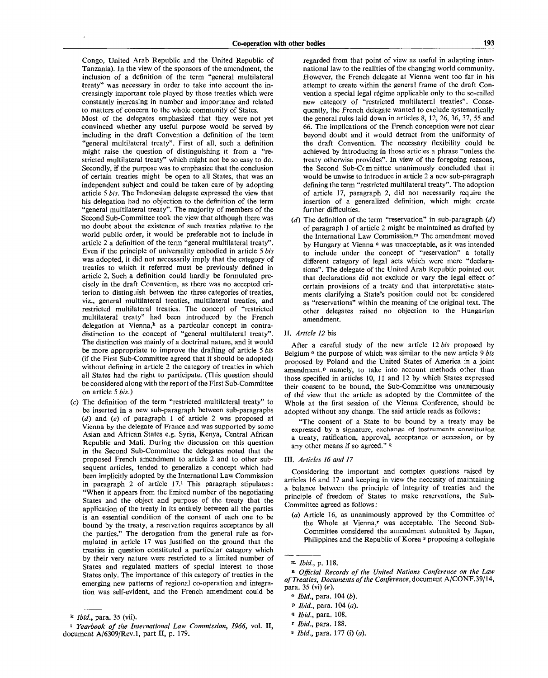Congo, United Arab Republic and the United Republic of Tanzania). In the view of the sponsors of the amendment, the inclusion of a definition of the term "general multilateral treaty" was necessary in order to take into account the increasingly important role played by those treaties which were constantly increasing in number and importance and related to matters of concern to the whole community of States. Most of the delegates emphasized that they were not yet convinced whether any useful purpose would be served by including in the draft Convention a definition of the term "general multilateral treaty". First of all, such a definition might raise the question of distinguishing it from a "restricted multilateral treaty" which might not be so easy to do. Secondly, if the purpose was to emphasize that the conclusion of certain treaties might be open to all States, that was an independent subject and could be taken care of by adopting article 5 *bis.* The Indonesian delegate expressed the view that his delegation had no objection to the definition of the term "general multilateral treaty". The majority of members of the Second Sub-Committee took the view that although there was no doubt about the existence of such treaties relative to the world public order, it would be preferable not to include in article 2 a definition of the term "general multilateral treaty". Even if the principle of universality embodied in article 5 *bis* Even if the principle of universality embodied in article 5 bis was adopted, it did not necessarily imply that the category of treaties to which it referred must be previously defined in reaties to which it referred must be previously defined in article 2, such a deunition could hardly be formulated precisely in the draft Convention, as there was no accepted criterion to distinguish between the three categories of treaties, viz., general multilateral treaties, multilateral treaties, and restricted multilateral treaties. The concept of "restricted multilateral treaty" had been introduced by the French delegation at Vienna, $k$  as a particular concept in contradistinction to the concept of "general multilateral treaty". The distinction was mainly of a doctrinal nature, and it would be more appropriate to improve the drafting of article 5 bis (if the First Sub-Committee agreed that it should be adopted) without defining in article 2 the category of treaties in which all States had the right to participate. (This question should be considered along with the report of the First Sub-Committee<br>on article 5 *bis.*)

(c) The definition of the term "restricted multilateral treaty" to be inserted in a new sub-paragraph between sub-paragraphs *(d)* and *(e)* of paragraph 1 of article 2 was proposed at Vienna by the delegate of France and was supported by some Asian and African States e.g. Syria, Kenya, Central African Republic and Mali. During the discussion on this question in the Second Sub-Committee the delegates noted that the proposed French amendment to article 2 and to other subsequent articles, tended to generalize a concept which had been implicitly adopted by the International Law Commission in paragraph 2 of article 17.<sup>1</sup> This paragraph stipulates: "When it appears from the limited number of the negotiating States and the object and purpose of the treaty that the application of the treaty in its entirely between all the parties is an essential condition of the consent of each one to be bound by the treaty, a reseivation requires acceptance by all the parties." The derogation from the general rule as formulated in article 17 was justified on the ground that the treaties in question constituted a particular category which by their very nature were restricted to a limited number of States and regulated matters of special interest to those States only. The importance of this category of treaties in the emerging new patterns of regional co-operation and integration was self-evident, and the French amendment could be

regarded from that point of view as useful in adapting international law to the realities of the changing world community. However, the French delegate at Vienna went too far in his attempt to create within the general frame of the draft Convention a special legal régime applicable only to the so-called new category of "restricted multilateral treaties". Consequently, the French delegate wanted to exclude systematically the general rules laid down in articles 8, 12, 26, 36, 37, 55 and 66. The implications of the French conception were not clear beyond doubt and it would detract from the uniformity of the draft Convention. The necessary flexibility could be achieved by introducing in those articles a phrase "unless the treaty otherwise provides". In view of the foregoing reasons, the Second Sub-Comnittee unanimously concluded that it would be unwise to introduce in article 2 a new sub-paragraph defining the term "restricted multilateral treaty". The adoption of article 17, paragraph 2, did not necessarily require the insertion of a generalized definition, which might create further difficulties.

*(d)* The definition of the term "reservation" in sub-paragraph *(d)* of paragraph 1 of article 2 might be maintained as drafted by the International Law Commission.<sup>m</sup> The amendment moved by Hungary at Vienna<sup>n</sup> was unacceptable, as it was intended to include under the concept of "reservation" a totally different category of legal acts which were mere "declarations". The delegate of the United Arab Republic pointed out that declarations did not exclude or vary the legal effect of certain provisions of a treaty and that interpretative statements clarifying a State's position could not be considered as "reservations" within the meaning of the original text. The other delegates raised no objection to the Hungarian amendment.

### II. *Article 12* bis

After a careful study of the new article 12 *bis* proposed by Belgium ° the purpose of which was similar to the new article 9 *bis* proposed by Poland and the United States of America in a joint amendment.<sup>p</sup> namely, to take into account methods other than those specified in articles 10, 11 and 12 by which States expressed their consent to be bound, the Sub-Committee was unanimously of the view that the article as adopted by the Committee of the Whole at the first session of the Vienna Conference, should be adopted without any change. The said article reads as follows:

"The consent of a State to be bound by a treaty may be expressed by a signature, exchange of instruments constituting a treaty, ratification, approval, acceptance or accession, or by any other means if so agreed." <sup>a</sup>

### III. *Articles 16 and 17*

Considering the important and complex questions raised by articles 16 and 17 and keeping in view the necessity of maintaining a balance between the principle of integrity of treaties and the principle of freedom of States to make reservations, the Sub-Committee agreed as follows :

*(a)* Article 16, as unanimously approved by the Committee of the Whole at Vienna,<sup>r</sup> was acceptable. The Second Sub-Committee considered the amendment submitted by Japan, Philippines and the Republic of Korea<sup>s</sup> proposing a collegiate

k  *Ibid.,* para. 35 (vii).

<sup>1</sup>  *Yearbook of the International Law Commission, 1966,* vol. II, document A/6309/Rev.l, part II, p. 179.

m  *Ibid.,* p. 118.

*a Official Records of the United Nations Conference on the Law of Treaties, Documents of the Conference,* document A/CONF.39/14, para. 35 (vi) (e).

<sup>0</sup>  *Ibid.,* para. 104 *(b).*

P *Ibid.,* para. 104 (a).

<sup>1</sup> *Ibid.,* para. 108.

r  *Ibid.,* para. 188.

<sup>3</sup>  *Ibid.,* para. 177 (i) (a).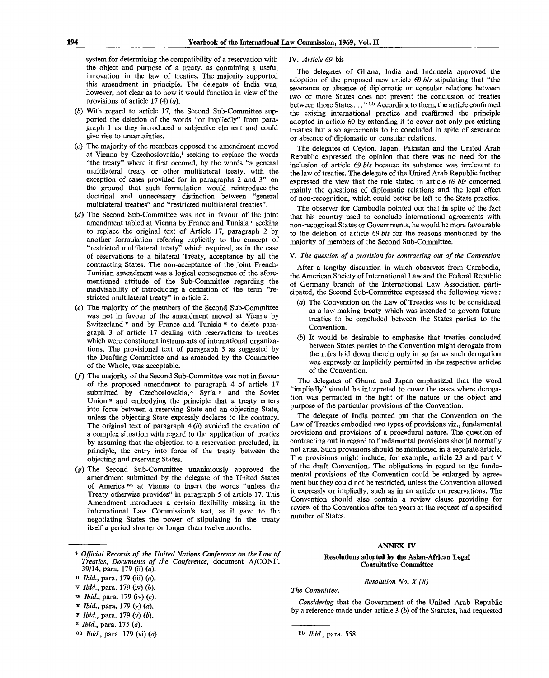system for determining the compatibility of a reservation with the object and purpose of a treaty, as containing a useful innovation in the law of treaties. The majority supported this amendment in principle. The delegate of India was, however, not clear as to how it would function in view of the provisions of article 17 (4) *(a).*

- (6) With regard to article 17, the Second Sub-Committee supported the deletion of the words "or impliedly" from paragraph 1 as they introduced a subjective element and could give rise to uncertainties.
- (c) The majority of the members opposed the amendment moved at Vienna by Czechoslovakia,<sup>t</sup> seeking to replace the words "the treaty" where it first occured, by the words "a general multilateral treaty or other multilateral treaty, with the exception of cases provided for in paragraphs 2 and 3" on the ground that such formulation would reintroduce the doctrinal and unnecessary distinction between "general multilateral treaties" and "restricted multilateral treaties".
- *(d)* The Second Sub-Committee was not in favour of the joint amendment tabled at Vienna by France and Tunisia <sup>u</sup> seeking to replace the original text of Article 17, paragraph 2 by another formulation referring explicitly to the concept of "restricted multilateral treaty" which required, as in the case of reservations to a bilateral Treaty, acceptance by all the contracting States. The non-acceptance of the joint French-Tunisian amendment was a logical consequence of the aforementioned attitude of the Sub-Committee regarding the inadvisability of introducing a definition of the term "restricted multilateral treaty" in article 2.
- (e) The majority of the members of the Second Sub-Committee was not in favour of the amendment moved at Vienna by Switzerland v and by France and Tunisia w to delete paragraph 3 of article 17 dealing with reservations to treaties which were constituent instruments of international organizations. The provisional text of paragraph 3 as suggested by the Drafting Committee and as amended by the Committee of the Whole, was acceptable.
- (f) The majority of the Second Sub-Committee was not in favour of the proposed amendment to paragraph 4 of article 17 submitted by Czechoslovakia, $x \overline{y}$  Syria  $\overline{y}$  and the Soviet Union<sup>2</sup> and embodying the principle that a treaty enters into force between a reserving State and an objecting State, unless the objecting State expressly declares to the contrary. The original text of paragraph 4 *(b)* avoided the creation of a complex situation with regard to the application of treaties by assuming that the objection to a reservation precluded, in principle, the entry into force of the treaty between the objecting and reserving States.
- *(g)* The Second Sub-Committee unanimously approved the amendment submitted by the delegate of the United States of America aa at Vienna to insert the words "unless the Treaty otherwise provides" in paragraph 5 of article 17. This Amendment introduces a certain flexibility missing in the International Law Commission's text, as it gave to the negotiating States the power of stipulating in the treaty itself a period shorter or longer than twelve months.

### \* *Official Records of the United Nations Conference on the Law of Treaties, Documents of the Conference,* document A/CONF. 39/14, para. 179 (ii) *(a).*

- u *Ibid.,* para. 179 (iii) *(a).*
- v *Ibid.*, para. 179 (iv) (b).
- w *Ibid.,* para. 179 (iv) (c).
- x *Ibid.,* para. 179 (v) *(a).*
- *v Ibid., para.* 179 (v) (b).
- z  *Ibid.,* para. 175 (a).
- aa *Ibid.*, para. 179 (vi) (a)

### IV. *Article 69* bis

The delegates of Ghana, India and Indonesia approved the adoption of the proposed new article 69 *bis* stipulating that "the severance or absence of diplomatic or consular relations between two or more States does not prevent the conclusion of treaties between those States..." bb According to them, the article confirmed the exising international practice and reaffirmed the principle adopted in article 60 by extending it to cover not only pre-existing treaties but also agreements to be concluded in spite of severance or absence of diplomatic or consular relations.

The delegates of Ceylon, Japan, Pakistan and the United Arab Republic expressed the opinion that there was no need for the inclusion of article 69 *bis* because its substance was irrelevant to the law of treaties. The delegate of the United Arab Republic further expressed the view that the rule stated in article 69 *bis* concerned mainly the questions of diplomatic relations and the legal effect of non-recognition, which could better be left to the State practice.

The observer for Cambodia pointed out that in spite of the fact that his country used to conclude international agreements with non-recognised States or Governments, he would be more favourable to the deletion of article 69 *bis* for the reasons mentioned by the majority of members of the Second Sub-Committee.

### V. *The question of a provision for contracting out of the Convention*

After a lengthy discussion in which observers from Cambodia, the American Society of International Law and the Federal Republic of Germany branch of the International Law Association participated, the Second Sub-Committee expressed the following views:

- *(a)* The Convention on the Law of Treaties was to be considered as a law-making treaty which was intended to govern future treaties to be concluded between the States parties to the Convention.
- *(b)* It would be desirable to emphasise that treaties concluded between States parties to the Convention might derogate from the rules laid down therein only in so far as such derogation was expressly or implicitly permitted in the respective articles of the Convention.

The delegates of Ghana and Japan emphasized that the word "impliedly" should be interpreted to cover the cases where derogation was permitted in the light of the nature or the object and purpose of the particular provisions of the Convention.

The delegate of India pointed out that the Convention on the Law of Treaties embodied two types of provisions viz., fundamental provisions and provisions of a procedural nature. The question of contracting out in regard to fundamental provisions should normally not arise. Such provisions should be mentioned in a separate article. The provisions might include, for example, article 23 and part V of the draft Convention. The obligations in regard to the fundamental provisions of the Convention could be enlarged by agreement but they could not be restricted, unless the Convention allowed it expressly or impliedly, such as in an article on reservations. The Convention should also contain a review clause providing for review of the Convention after ten years at the request of a specified number of States.

#### **ANNEX IV**

### **Resolutions adopted by the Asian-African Legal Consultative Committee**

*Resolution No. X (8)*

*The Committee,*

*Considering* that the Government of the United Arab Republic by a reference made under article 3 *(b)* of the Statutes, had requested

*Ibid.,* para. 558.